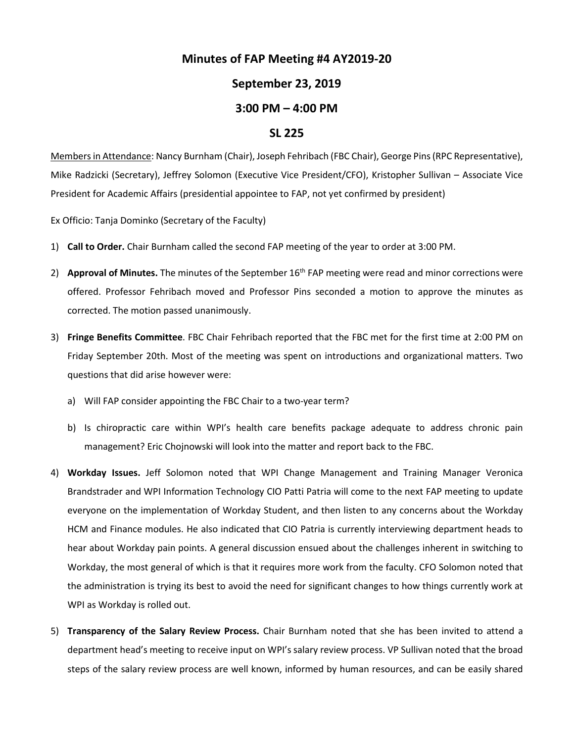## **Minutes of FAP Meeting #4 AY2019-20**

## **September 23, 2019**

## **3:00 PM – 4:00 PM**

## **SL 225**

Membersin Attendance: Nancy Burnham (Chair), Joseph Fehribach (FBC Chair), George Pins (RPC Representative), Mike Radzicki (Secretary), Jeffrey Solomon (Executive Vice President/CFO), Kristopher Sullivan – Associate Vice President for Academic Affairs (presidential appointee to FAP, not yet confirmed by president)

Ex Officio: Tanja Dominko (Secretary of the Faculty)

- 1) **Call to Order.** Chair Burnham called the second FAP meeting of the year to order at 3:00 PM.
- 2) **Approval of Minutes.** The minutes of the September 16<sup>th</sup> FAP meeting were read and minor corrections were offered. Professor Fehribach moved and Professor Pins seconded a motion to approve the minutes as corrected. The motion passed unanimously.
- 3) **Fringe Benefits Committee**. FBC Chair Fehribach reported that the FBC met for the first time at 2:00 PM on Friday September 20th. Most of the meeting was spent on introductions and organizational matters. Two questions that did arise however were:
	- a) Will FAP consider appointing the FBC Chair to a two-year term?
	- b) Is chiropractic care within WPI's health care benefits package adequate to address chronic pain management? Eric Chojnowski will look into the matter and report back to the FBC.
- 4) **Workday Issues.** Jeff Solomon noted that WPI Change Management and Training Manager Veronica Brandstrader and WPI Information Technology CIO Patti Patria will come to the next FAP meeting to update everyone on the implementation of Workday Student, and then listen to any concerns about the Workday HCM and Finance modules. He also indicated that CIO Patria is currently interviewing department heads to hear about Workday pain points. A general discussion ensued about the challenges inherent in switching to Workday, the most general of which is that it requires more work from the faculty. CFO Solomon noted that the administration is trying its best to avoid the need for significant changes to how things currently work at WPI as Workday is rolled out.
- 5) **Transparency of the Salary Review Process.** Chair Burnham noted that she has been invited to attend a department head's meeting to receive input on WPI's salary review process. VP Sullivan noted that the broad steps of the salary review process are well known, informed by human resources, and can be easily shared